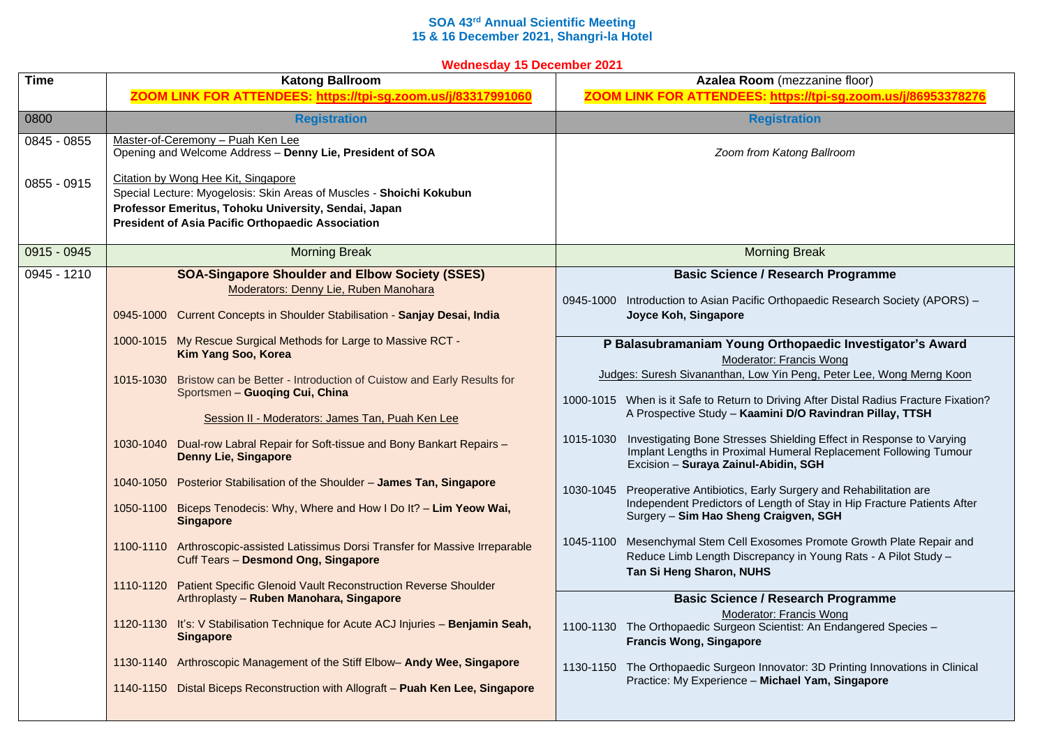## **SOA 43rd Annual Scientific Meeting 15 & 16 December 2021, Shangri-la Hotel**

**Wednesday 15 December 2021**

| <b>Time</b> | <b>Katong Ballroom</b>                                                                                                                                                                                                          | Azalea Room (mezzanine floor)                                                                                                                                                                                             |
|-------------|---------------------------------------------------------------------------------------------------------------------------------------------------------------------------------------------------------------------------------|---------------------------------------------------------------------------------------------------------------------------------------------------------------------------------------------------------------------------|
|             | ZOOM LINK FOR ATTENDEES: https://tpi-sg.zoom.us/j/83317991060                                                                                                                                                                   | ZOOM LINK FOR ATTENDEES: https://tpi-sg.zoom.us/j/86953378276                                                                                                                                                             |
| 0800        | <b>Registration</b>                                                                                                                                                                                                             | <b>Registration</b>                                                                                                                                                                                                       |
| 0845 - 0855 | Master-of-Ceremony - Puah Ken Lee<br>Opening and Welcome Address - Denny Lie, President of SOA                                                                                                                                  | Zoom from Katong Ballroom                                                                                                                                                                                                 |
| 0855 - 0915 | Citation by Wong Hee Kit, Singapore<br>Special Lecture: Myogelosis: Skin Areas of Muscles - Shoichi Kokubun<br>Professor Emeritus, Tohoku University, Sendai, Japan<br><b>President of Asia Pacific Orthopaedic Association</b> |                                                                                                                                                                                                                           |
| 0915 - 0945 | <b>Morning Break</b>                                                                                                                                                                                                            | <b>Morning Break</b>                                                                                                                                                                                                      |
| 0945 - 1210 | <b>SOA-Singapore Shoulder and Elbow Society (SSES)</b><br>Moderators: Denny Lie, Ruben Manohara<br>0945-1000 Current Concepts in Shoulder Stabilisation - Sanjay Desai, India                                                   | <b>Basic Science / Research Programme</b><br>0945-1000 Introduction to Asian Pacific Orthopaedic Research Society (APORS) -<br>Joyce Koh, Singapore                                                                       |
|             | 1000-1015 My Rescue Surgical Methods for Large to Massive RCT -<br>Kim Yang Soo, Korea                                                                                                                                          | P Balasubramaniam Young Orthopaedic Investigator's Award<br>Moderator: Francis Wong                                                                                                                                       |
|             | 1015-1030 Bristow can be Better - Introduction of Cuistow and Early Results for<br>Sportsmen - Guoqing Cui, China<br>Session II - Moderators: James Tan, Puah Ken Lee                                                           | Judges: Suresh Sivananthan, Low Yin Peng, Peter Lee, Wong Merng Koon<br>1000-1015 When is it Safe to Return to Driving After Distal Radius Fracture Fixation?<br>A Prospective Study - Kaamini D/O Ravindran Pillay, TTSH |
|             | 1030-1040 Dual-row Labral Repair for Soft-tissue and Bony Bankart Repairs -<br><b>Denny Lie, Singapore</b>                                                                                                                      | 1015-1030<br>Investigating Bone Stresses Shielding Effect in Response to Varying<br>Implant Lengths in Proximal Humeral Replacement Following Tumour<br>Excision - Suraya Zainul-Abidin, SGH                              |
|             | 1040-1050 Posterior Stabilisation of the Shoulder - James Tan, Singapore<br>1050-1100 Biceps Tenodecis: Why, Where and How I Do It? - Lim Yeow Wai,<br><b>Singapore</b>                                                         | Preoperative Antibiotics, Early Surgery and Rehabilitation are<br>1030-1045<br>Independent Predictors of Length of Stay in Hip Fracture Patients After<br>Surgery - Sim Hao Sheng Craigven, SGH                           |
|             | 1100-1110 Arthroscopic-assisted Latissimus Dorsi Transfer for Massive Irreparable<br>Cuff Tears - Desmond Ong, Singapore                                                                                                        | Mesenchymal Stem Cell Exosomes Promote Growth Plate Repair and<br>1045-1100<br>Reduce Limb Length Discrepancy in Young Rats - A Pilot Study -<br>Tan Si Heng Sharon, NUHS                                                 |
|             | 1110-1120 Patient Specific Glenoid Vault Reconstruction Reverse Shoulder<br>Arthroplasty - Ruben Manohara, Singapore                                                                                                            | <b>Basic Science / Research Programme</b><br>Moderator: Francis Wong                                                                                                                                                      |
|             | 1120-1130 It's: V Stabilisation Technique for Acute ACJ Injuries - Benjamin Seah,<br><b>Singapore</b>                                                                                                                           | 1100-1130 The Orthopaedic Surgeon Scientist: An Endangered Species -<br><b>Francis Wong, Singapore</b>                                                                                                                    |
|             | 1130-1140 Arthroscopic Management of the Stiff Elbow- Andy Wee, Singapore<br>1140-1150 Distal Biceps Reconstruction with Allograft - Puah Ken Lee, Singapore                                                                    | 1130-1150 The Orthopaedic Surgeon Innovator: 3D Printing Innovations in Clinical<br>Practice: My Experience - Michael Yam, Singapore                                                                                      |
|             |                                                                                                                                                                                                                                 |                                                                                                                                                                                                                           |